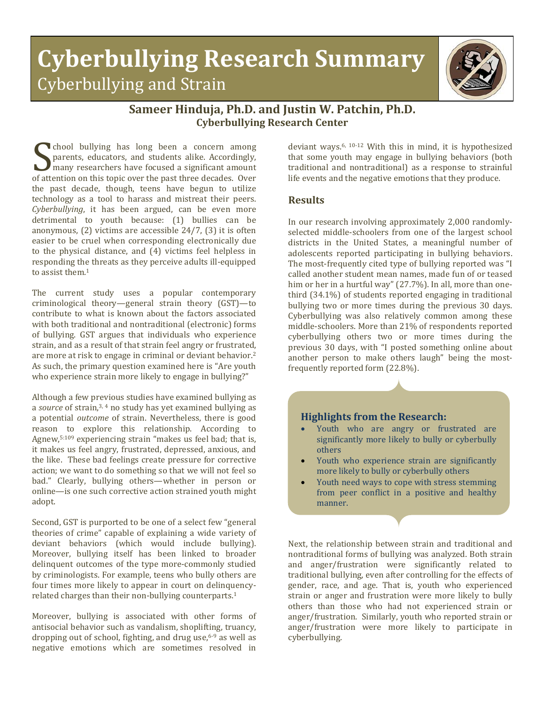## **Cyberbullying Research Summary** Cyberbullying and Strain



## **Sameer Hinduja, Ph.D. and Justin W. Patchin, Ph.D. Cyberbullying Research Center**

chool bullying has long been a concern among parents, educators, and students alike. Accordingly, many researchers have focused a significant amount For a concern among<br>parents, educators, and students alike. Accordingly,<br>many researchers have focused a significant amount<br>of attention on this topic over the past three decades. Over<br>the past decade, though teams have be the past decade, though, teens have begun to utilize technology as a tool to harass and mistreat their peers. *Cyberbullying*, it has been argued, can be even more detrimental to youth because: (1) bullies can be anonymous, (2) victims are accessible 24/7, (3) it is often easier to be cruel when corresponding electronically due to the physical distance, and (4) victims feel helpless in responding the threats as they perceive adults ill-equipped to assist them.<sup>1</sup>

The current study uses a popular contemporary criminological theory—general strain theory (GST)—to contribute to what is known about the factors associated with both traditional and nontraditional (electronic) forms of bullying. GST argues that individuals who experience strain, and as a result of that strain feel angry or frustrated, are more at risk to engage in criminal or deviant behavior. 2 As such, the primary question examined here is "Are youth who experience strain more likely to engage in bullying?"

Although a few previous studies have examined bullying as a *source* of strain, 3, 4 no study has yet examined bullying as a potential *outcome* of strain. Nevertheless, there is good reason to explore this relationship. According to Agnew, 5:109 experiencing strain "makes us feel bad; that is, it makes us feel angry, frustrated, depressed, anxious, and the like. These bad feelings create pressure for corrective action; we want to do something so that we will not feel so bad." Clearly, bullying others—whether in person or online—is one such corrective action strained youth might adopt.

Second, GST is purported to be one of a select few "general theories of crime" capable of explaining a wide variety of deviant behaviors (which would include bullying). Moreover, bullying itself has been linked to broader delinquent outcomes of the type more-commonly studied by criminologists. For example, teens who bully others are four times more likely to appear in court on delinquencyrelated charges than their non-bullying counterparts. 1

Moreover, bullying is associated with other forms of antisocial behavior such as vandalism, shoplifting, truancy, dropping out of school, fighting, and drug use, 6-9 as well as negative emotions which are sometimes resolved in

deviant ways. 6, 10-12 With this in mind, it is hypothesized that some youth may engage in bullying behaviors (both traditional and nontraditional) as a response to strainful life events and the negative emotions that they produce.

## **Results**

In our research involving approximately 2,000 randomlyselected middle-schoolers from one of the largest school districts in the United States, a meaningful number of adolescents reported participating in bullying behaviors. The most-frequently cited type of bullying reported was "I called another student mean names, made fun of or teased him or her in a hurtful way" (27.7%). In all, more than onethird (34.1%) of students reported engaging in traditional bullying two or more times during the previous 30 days. Cyberbullying was also relatively common among these middle-schoolers. More than 21% of respondents reported cyberbullying others two or more times during the previous 30 days, with "I posted something online about another person to make others laugh" being the mostfrequently reported form (22.8%).



- Youth who are angry or frustrated are significantly more likely to bully or cyberbully others
- Youth who experience strain are significantly more likely to bully or cyberbully others
- Youth need ways to cope with stress stemming from peer conflict in a positive and healthy manner.

Next, the relationship between strain and traditional and nontraditional forms of bullying was analyzed. Both strain and anger/frustration were significantly related to traditional bullying, even after controlling for the effects of gender, race, and age. That is, youth who experienced strain or anger and frustration were more likely to bully others than those who had not experienced strain or anger/frustration. Similarly, youth who reported strain or anger/frustration were more likely to participate in cyberbullying.